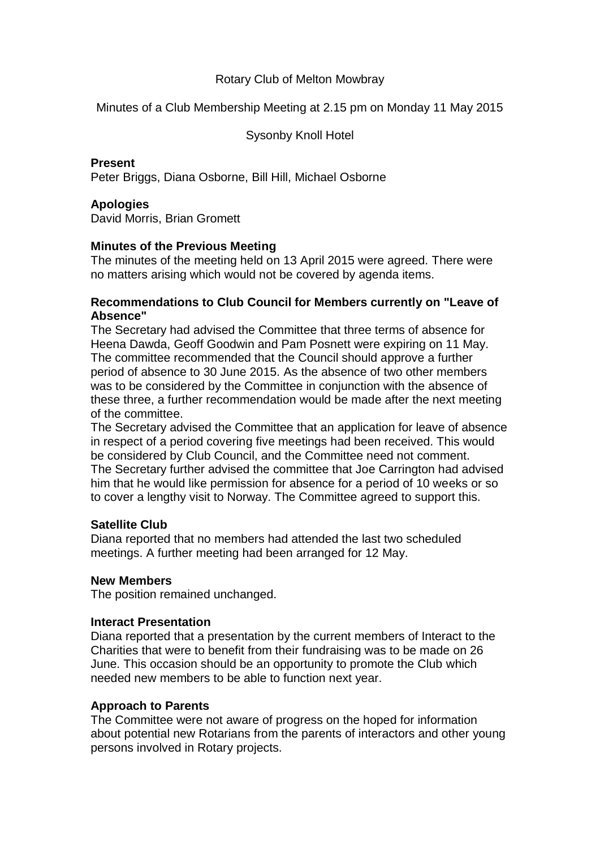# Rotary Club of Melton Mowbray

Minutes of a Club Membership Meeting at 2.15 pm on Monday 11 May 2015

Sysonby Knoll Hotel

## **Present**

Peter Briggs, Diana Osborne, Bill Hill, Michael Osborne

# **Apologies**

David Morris, Brian Gromett

# **Minutes of the Previous Meeting**

The minutes of the meeting held on 13 April 2015 were agreed. There were no matters arising which would not be covered by agenda items.

#### **Recommendations to Club Council for Members currently on "Leave of Absence"**

The Secretary had advised the Committee that three terms of absence for Heena Dawda, Geoff Goodwin and Pam Posnett were expiring on 11 May. The committee recommended that the Council should approve a further period of absence to 30 June 2015. As the absence of two other members was to be considered by the Committee in conjunction with the absence of these three, a further recommendation would be made after the next meeting of the committee.

The Secretary advised the Committee that an application for leave of absence in respect of a period covering five meetings had been received. This would be considered by Club Council, and the Committee need not comment. The Secretary further advised the committee that Joe Carrington had advised him that he would like permission for absence for a period of 10 weeks or so to cover a lengthy visit to Norway. The Committee agreed to support this.

# **Satellite Club**

Diana reported that no members had attended the last two scheduled meetings. A further meeting had been arranged for 12 May.

### **New Members**

The position remained unchanged.

### **Interact Presentation**

Diana reported that a presentation by the current members of Interact to the Charities that were to benefit from their fundraising was to be made on 26 June. This occasion should be an opportunity to promote the Club which needed new members to be able to function next year.

### **Approach to Parents**

The Committee were not aware of progress on the hoped for information about potential new Rotarians from the parents of interactors and other young persons involved in Rotary projects.